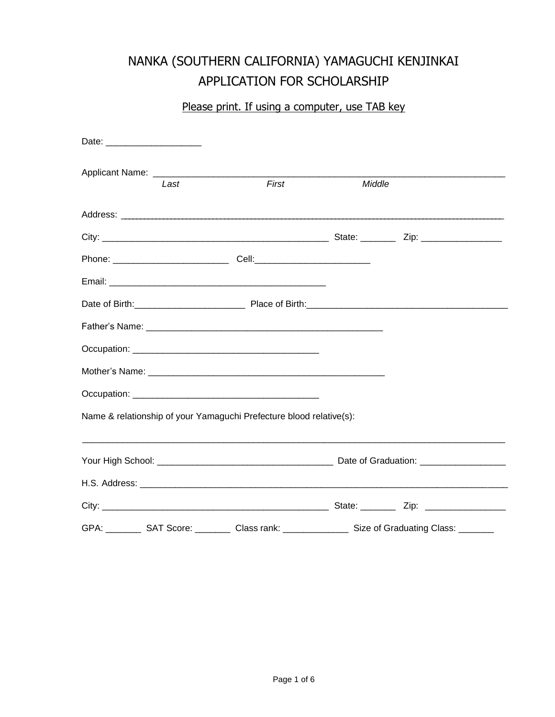# NANKA (SOUTHERN CALIFORNIA) YAMAGUCHI KENJINKAI APPLICATION FOR SCHOLARSHIP

## Please print. If using a computer, use TAB key

| Date: ________________________ |                                                                     |                                                                                                               |        |
|--------------------------------|---------------------------------------------------------------------|---------------------------------------------------------------------------------------------------------------|--------|
| Last                           | First                                                               |                                                                                                               | Middle |
|                                |                                                                     |                                                                                                               |        |
|                                |                                                                     |                                                                                                               |        |
|                                |                                                                     |                                                                                                               |        |
|                                |                                                                     |                                                                                                               |        |
|                                |                                                                     |                                                                                                               |        |
|                                |                                                                     |                                                                                                               |        |
|                                |                                                                     |                                                                                                               |        |
|                                |                                                                     |                                                                                                               |        |
|                                |                                                                     |                                                                                                               |        |
|                                | Name & relationship of your Yamaguchi Prefecture blood relative(s): |                                                                                                               |        |
|                                |                                                                     |                                                                                                               |        |
|                                |                                                                     |                                                                                                               |        |
|                                |                                                                     |                                                                                                               |        |
|                                |                                                                     | GPA: ____________ SAT Score: ___________ Class rank: ____________________ Size of Graduating Class: _________ |        |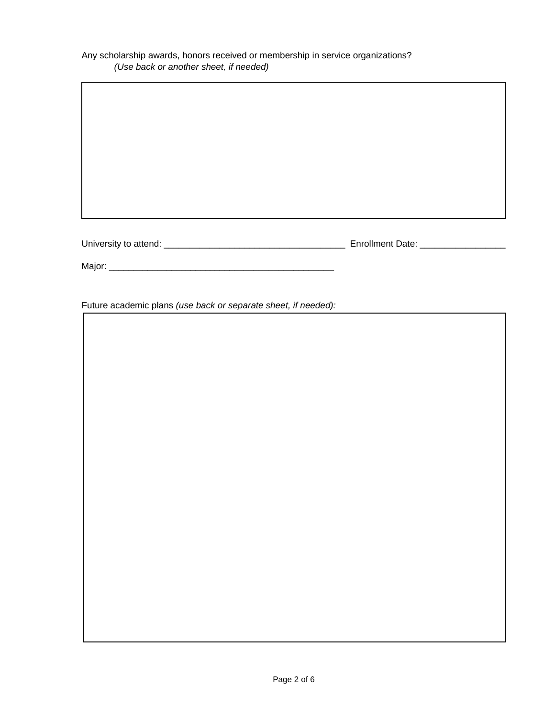Any scholarship awards, honors received or membership in service organizations? *(Use back or another sheet, if needed)*

University to attend: \_\_\_\_\_\_\_\_\_\_\_\_\_\_\_\_\_\_\_\_\_\_\_\_\_\_\_\_\_\_\_\_\_\_\_\_ Enrollment Date: \_\_\_\_\_\_\_\_\_\_\_\_\_\_\_\_\_

Major: \_\_\_\_\_\_\_\_\_\_\_\_\_\_\_\_\_\_\_\_\_\_\_\_\_\_\_\_\_\_\_\_\_\_\_\_\_\_\_\_\_\_\_\_\_\_

Future academic plans *(use back or separate sheet, if needed):*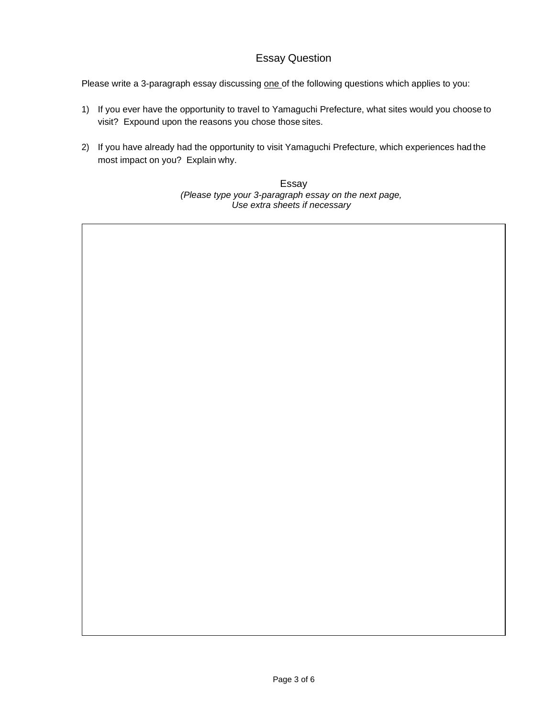## Essay Question

Please write a 3-paragraph essay discussing one of the following questions which applies to you:

- 1) If you ever have the opportunity to travel to Yamaguchi Prefecture, what sites would you chooseto visit? Expound upon the reasons you chose those sites.
- 2) If you have already had the opportunity to visit Yamaguchi Prefecture, which experiences hadthe most impact on you? Explain why.

Essay *(Please type your 3-paragraph essay on the next page, Use extra sheets if necessary*

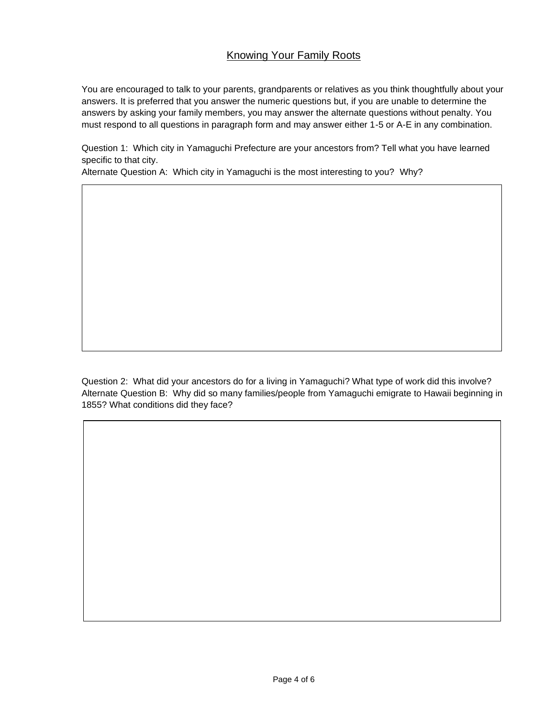## Knowing Your Family Roots

You are encouraged to talk to your parents, grandparents or relatives as you think thoughtfully about your answers. It is preferred that you answer the numeric questions but, if you are unable to determine the answers by asking your family members, you may answer the alternate questions without penalty. You must respond to all questions in paragraph form and may answer either 1-5 or A-E in any combination.

Question 1: Which city in Yamaguchi Prefecture are your ancestors from? Tell what you have learned specific to that city.

Alternate Question A: Which city in Yamaguchi is the most interesting to you? Why?

Question 2: What did your ancestors do for a living in Yamaguchi? What type of work did this involve? Alternate Question B: Why did so many families/people from Yamaguchi emigrate to Hawaii beginning in 1855? What conditions did they face?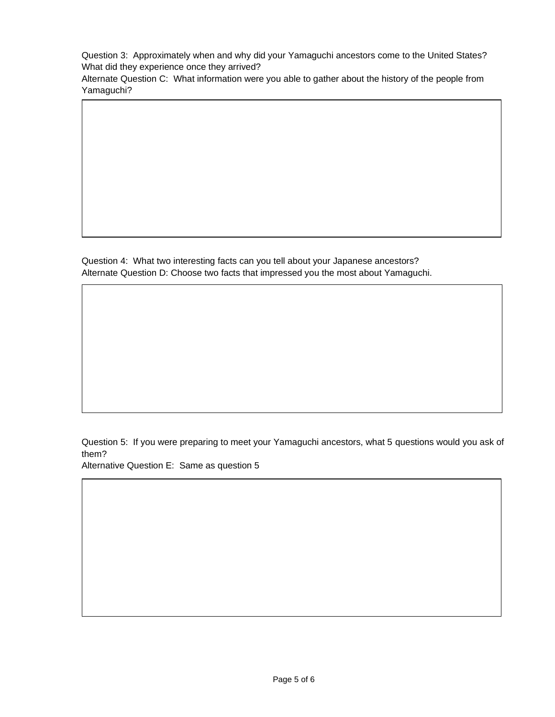Question 3: Approximately when and why did your Yamaguchi ancestors come to the United States? What did they experience once they arrived?

Alternate Question C: What information were you able to gather about the history of the people from Yamaguchi?

Question 4: What two interesting facts can you tell about your Japanese ancestors? Alternate Question D: Choose two facts that impressed you the most about Yamaguchi.

Question 5: If you were preparing to meet your Yamaguchi ancestors, what 5 questions would you ask of them?

Alternative Question E: Same as question 5